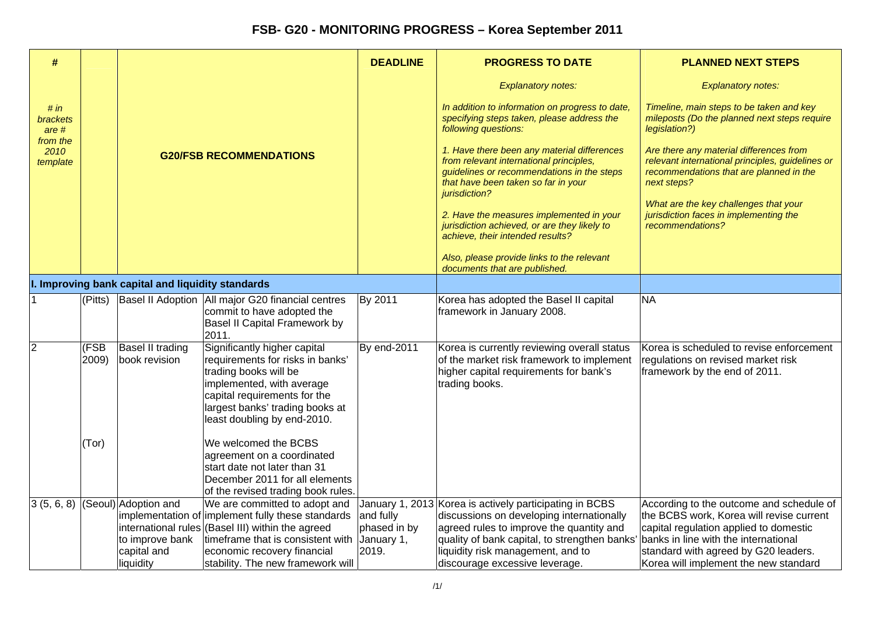| #                                    |               |                                                                     |                                                                                                                                                                                                                                                  | <b>DEADLINE</b>                                                                                                              | <b>PROGRESS TO DATE</b>                                                                                                                                                                                                                                                  | <b>PLANNED NEXT STEPS</b>                                                                                                                                                                                                                               |
|--------------------------------------|---------------|---------------------------------------------------------------------|--------------------------------------------------------------------------------------------------------------------------------------------------------------------------------------------------------------------------------------------------|------------------------------------------------------------------------------------------------------------------------------|--------------------------------------------------------------------------------------------------------------------------------------------------------------------------------------------------------------------------------------------------------------------------|---------------------------------------------------------------------------------------------------------------------------------------------------------------------------------------------------------------------------------------------------------|
|                                      |               |                                                                     |                                                                                                                                                                                                                                                  |                                                                                                                              | <b>Explanatory notes:</b>                                                                                                                                                                                                                                                | <b>Explanatory notes:</b>                                                                                                                                                                                                                               |
| # in<br>brackets<br>are <sub>#</sub> |               |                                                                     |                                                                                                                                                                                                                                                  |                                                                                                                              | In addition to information on progress to date,<br>specifying steps taken, please address the<br>following questions:                                                                                                                                                    | Timeline, main steps to be taken and key<br>mileposts (Do the planned next steps require<br>legislation?)                                                                                                                                               |
| from the<br>2010<br>template         |               |                                                                     | <b>G20/FSB RECOMMENDATIONS</b>                                                                                                                                                                                                                   |                                                                                                                              | 1. Have there been any material differences<br>from relevant international principles,<br>guidelines or recommendations in the steps<br>that have been taken so far in your<br>jurisdiction?                                                                             | Are there any material differences from<br>relevant international principles, guidelines or<br>recommendations that are planned in the<br>next steps?                                                                                                   |
|                                      |               |                                                                     |                                                                                                                                                                                                                                                  | 2. Have the measures implemented in your<br>jurisdiction achieved, or are they likely to<br>achieve, their intended results? | What are the key challenges that your<br>jurisdiction faces in implementing the<br>recommendations?                                                                                                                                                                      |                                                                                                                                                                                                                                                         |
|                                      |               |                                                                     |                                                                                                                                                                                                                                                  |                                                                                                                              | Also, please provide links to the relevant<br>documents that are published.                                                                                                                                                                                              |                                                                                                                                                                                                                                                         |
|                                      |               | I. Improving bank capital and liquidity standards                   |                                                                                                                                                                                                                                                  |                                                                                                                              |                                                                                                                                                                                                                                                                          |                                                                                                                                                                                                                                                         |
|                                      |               |                                                                     | (Pitts) Basel II Adoption   All major G20 financial centres<br>commit to have adopted the<br>Basel II Capital Framework by<br>2011.                                                                                                              | By 2011                                                                                                                      | Korea has adopted the Basel II capital<br>framework in January 2008.                                                                                                                                                                                                     | <b>NA</b>                                                                                                                                                                                                                                               |
| 2                                    | (FSB<br>2009) | Basel II trading<br>book revision                                   | Significantly higher capital<br>requirements for risks in banks'<br>trading books will be<br>implemented, with average<br>capital requirements for the<br>largest banks' trading books at<br>least doubling by end-2010.                         | By end-2011                                                                                                                  | Korea is currently reviewing overall status<br>of the market risk framework to implement<br>higher capital requirements for bank's<br>trading books.                                                                                                                     | Korea is scheduled to revise enforcement<br>regulations on revised market risk<br>framework by the end of 2011.                                                                                                                                         |
|                                      | (Tor)         |                                                                     | We welcomed the BCBS<br>agreement on a coordinated<br>start date not later than 31<br>December 2011 for all elements<br>of the revised trading book rules.                                                                                       |                                                                                                                              |                                                                                                                                                                                                                                                                          |                                                                                                                                                                                                                                                         |
| 3(5, 6, 8)                           |               | (Seoul) Adoption and<br>to improve bank<br>capital and<br>liquidity | We are committed to adopt and<br>implementation of implement fully these standards<br>international rules (Basel III) within the agreed<br>timeframe that is consistent with<br>economic recovery financial<br>stability. The new framework will | and fully<br>phased in by<br>January 1,<br>2019.                                                                             | January 1, 2013 Korea is actively participating in BCBS<br>discussions on developing internationally<br>agreed rules to improve the quantity and<br>quality of bank capital, to strengthen banks'<br>liquidity risk management, and to<br>discourage excessive leverage. | According to the outcome and schedule of<br>the BCBS work, Korea will revise current<br>capital regulation applied to domestic<br>banks in line with the international<br>standard with agreed by G20 leaders.<br>Korea will implement the new standard |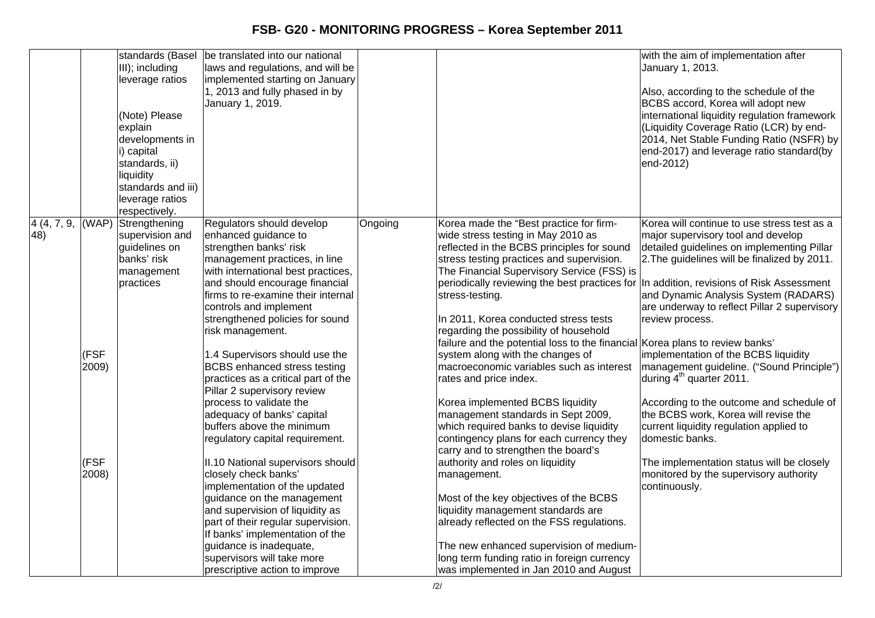|     |               | standards (Basel<br>III); including<br>leverage ratios<br>(Note) Please<br>explain<br>developments in<br>i) capital<br>standards, ii)<br>liquidity<br>standards and iii)<br>leverage ratios<br>respectively. | be translated into our national<br>laws and regulations, and will be<br>implemented starting on January<br>1, 2013 and fully phased in by<br>January 1, 2019.                                                                                                                                                                                                                                                                                                                                                                                    |         |                                                                                                                                                                                                                                                                                                                                                                                                                                                                                                                                                                                                                                                                                               | with the aim of implementation after<br>January 1, 2013.<br>Also, according to the schedule of the<br>BCBS accord, Korea will adopt new<br>international liquidity regulation framework<br>(Liquidity Coverage Ratio (LCR) by end-<br>2014, Net Stable Funding Ratio (NSFR) by<br>end-2017) and leverage ratio standard(by<br>end-2012)                                                                                                                                                                                                                                                             |
|-----|---------------|--------------------------------------------------------------------------------------------------------------------------------------------------------------------------------------------------------------|--------------------------------------------------------------------------------------------------------------------------------------------------------------------------------------------------------------------------------------------------------------------------------------------------------------------------------------------------------------------------------------------------------------------------------------------------------------------------------------------------------------------------------------------------|---------|-----------------------------------------------------------------------------------------------------------------------------------------------------------------------------------------------------------------------------------------------------------------------------------------------------------------------------------------------------------------------------------------------------------------------------------------------------------------------------------------------------------------------------------------------------------------------------------------------------------------------------------------------------------------------------------------------|-----------------------------------------------------------------------------------------------------------------------------------------------------------------------------------------------------------------------------------------------------------------------------------------------------------------------------------------------------------------------------------------------------------------------------------------------------------------------------------------------------------------------------------------------------------------------------------------------------|
| 48) | (FSF<br>2009) | $4(4, 7, 9,  (WAP) )$ Strengthening<br>supervision and<br>guidelines on<br>banks' risk<br>management<br>practices                                                                                            | Regulators should develop<br>enhanced guidance to<br>strengthen banks' risk<br>management practices, in line<br>with international best practices,<br>and should encourage financial<br>firms to re-examine their internal<br>controls and implement<br>strengthened policies for sound<br>risk management.<br>1.4 Supervisors should use the<br><b>BCBS</b> enhanced stress testing<br>practices as a critical part of the<br>Pillar 2 supervisory review<br>process to validate the<br>adequacy of banks' capital<br>buffers above the minimum | Ongoing | Korea made the "Best practice for firm-<br>wide stress testing in May 2010 as<br>reflected in the BCBS principles for sound<br>stress testing practices and supervision.<br>The Financial Supervisory Service (FSS) is<br>periodically reviewing the best practices for<br>stress-testing.<br>In 2011, Korea conducted stress tests<br>regarding the possibility of household<br>failure and the potential loss to the financial Korea plans to review banks'<br>system along with the changes of<br>macroeconomic variables such as interest<br>rates and price index.<br>Korea implemented BCBS liquidity<br>management standards in Sept 2009,<br>which required banks to devise liquidity | Korea will continue to use stress test as a<br>major supervisory tool and develop<br>detailed guidelines on implementing Pillar<br>2. The guidelines will be finalized by 2011.<br>In addition, revisions of Risk Assessment<br>and Dynamic Analysis System (RADARS)<br>are underway to reflect Pillar 2 supervisory<br>review process.<br>implementation of the BCBS liquidity<br>management guideline. ("Sound Principle")<br>during 4 <sup>th</sup> quarter 2011.<br>According to the outcome and schedule of<br>the BCBS work, Korea will revise the<br>current liquidity regulation applied to |
|     | (FSF<br>2008) |                                                                                                                                                                                                              | regulatory capital requirement.<br>II.10 National supervisors should<br>closely check banks'<br>implementation of the updated<br>guidance on the management<br>and supervision of liquidity as<br>part of their regular supervision.<br>If banks' implementation of the<br>guidance is inadequate,<br>supervisors will take more<br>prescriptive action to improve                                                                                                                                                                               |         | contingency plans for each currency they<br>carry and to strengthen the board's<br>authority and roles on liquidity<br>management.<br>Most of the key objectives of the BCBS<br>liquidity management standards are<br>already reflected on the FSS regulations.<br>The new enhanced supervision of medium-<br>long term funding ratio in foreign currency<br>was implemented in Jan 2010 and August                                                                                                                                                                                                                                                                                           | domestic banks.<br>The implementation status will be closely<br>monitored by the supervisory authority<br>continuously.                                                                                                                                                                                                                                                                                                                                                                                                                                                                             |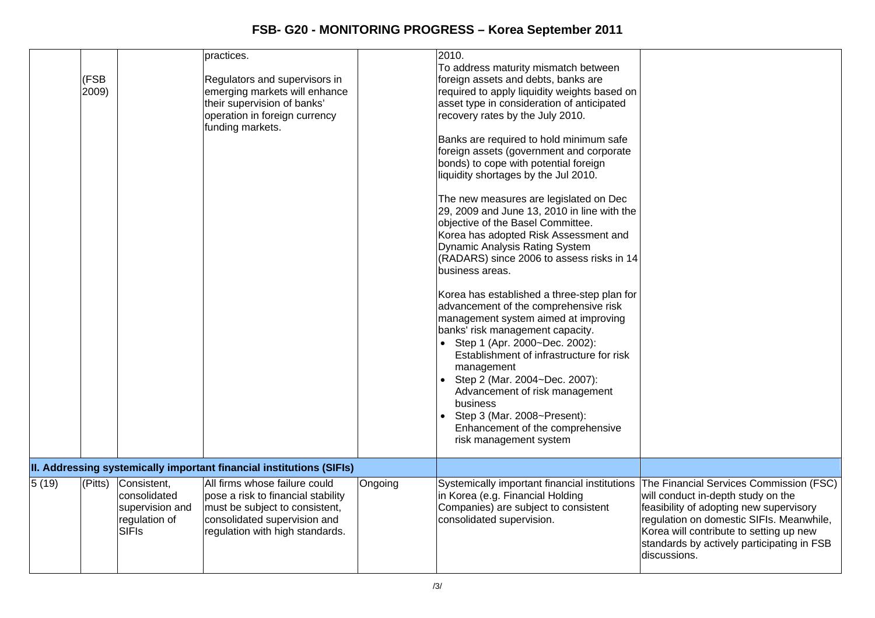|       | (FSB<br>2009) |                                                                                 | practices.<br>Regulators and supervisors in<br>emerging markets will enhance<br>their supervision of banks'<br>operation in foreign currency<br>funding markets.         |         | 2010.<br>To address maturity mismatch between<br>foreign assets and debts, banks are<br>required to apply liquidity weights based on<br>asset type in consideration of anticipated<br>recovery rates by the July 2010.<br>Banks are required to hold minimum safe<br>foreign assets (government and corporate<br>bonds) to cope with potential foreign<br>liquidity shortages by the Jul 2010.<br>The new measures are legislated on Dec<br>29, 2009 and June 13, 2010 in line with the<br>objective of the Basel Committee.<br>Korea has adopted Risk Assessment and<br>Dynamic Analysis Rating System<br>(RADARS) since 2006 to assess risks in 14<br>business areas.<br>Korea has established a three-step plan for<br>advancement of the comprehensive risk<br>management system aimed at improving<br>banks' risk management capacity.<br>• Step 1 (Apr. 2000~Dec. 2002):<br>Establishment of infrastructure for risk<br>management<br>• Step 2 (Mar. 2004~Dec. 2007):<br>Advancement of risk management<br>business<br>Step 3 (Mar. 2008~Present):<br>Enhancement of the comprehensive<br>risk management system |                                                                                                                                                                                                                                                                               |
|-------|---------------|---------------------------------------------------------------------------------|--------------------------------------------------------------------------------------------------------------------------------------------------------------------------|---------|------------------------------------------------------------------------------------------------------------------------------------------------------------------------------------------------------------------------------------------------------------------------------------------------------------------------------------------------------------------------------------------------------------------------------------------------------------------------------------------------------------------------------------------------------------------------------------------------------------------------------------------------------------------------------------------------------------------------------------------------------------------------------------------------------------------------------------------------------------------------------------------------------------------------------------------------------------------------------------------------------------------------------------------------------------------------------------------------------------------------|-------------------------------------------------------------------------------------------------------------------------------------------------------------------------------------------------------------------------------------------------------------------------------|
|       |               |                                                                                 | II. Addressing systemically important financial institutions (SIFIs)                                                                                                     |         |                                                                                                                                                                                                                                                                                                                                                                                                                                                                                                                                                                                                                                                                                                                                                                                                                                                                                                                                                                                                                                                                                                                        |                                                                                                                                                                                                                                                                               |
| 5(19) | (Pitts)       | Consistent,<br>consolidated<br>supervision and<br>regulation of<br><b>SIFIs</b> | All firms whose failure could<br>pose a risk to financial stability<br>must be subject to consistent,<br>consolidated supervision and<br>regulation with high standards. | Ongoing | Systemically important financial institutions<br>in Korea (e.g. Financial Holding<br>Companies) are subject to consistent<br>consolidated supervision.                                                                                                                                                                                                                                                                                                                                                                                                                                                                                                                                                                                                                                                                                                                                                                                                                                                                                                                                                                 | The Financial Services Commission (FSC)<br>will conduct in-depth study on the<br>feasibility of adopting new supervisory<br>regulation on domestic SIFIs. Meanwhile,<br>Korea will contribute to setting up new<br>standards by actively participating in FSB<br>discussions. |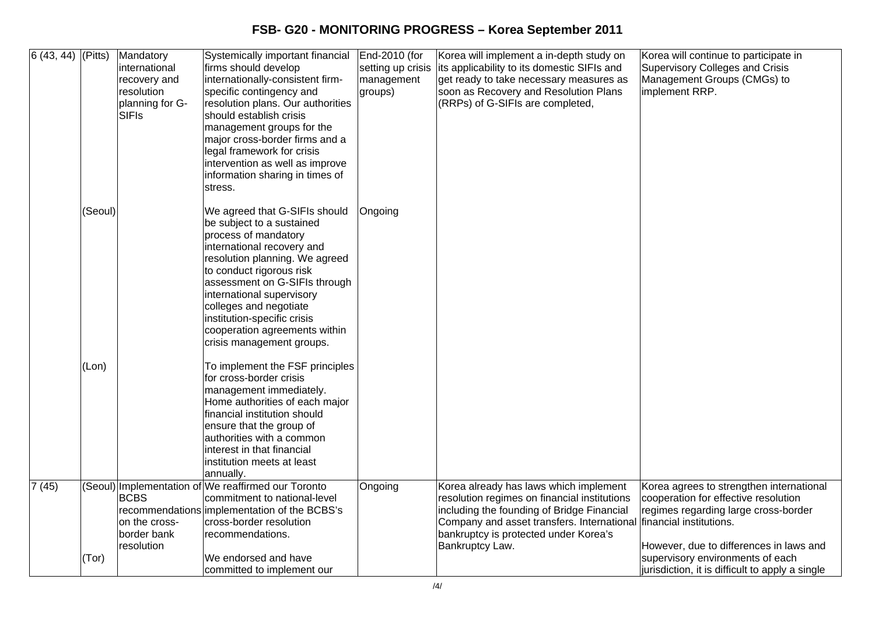| $6(43, 44)$ (Pitts) |         | Mandatory<br>international<br>recovery and<br>resolution<br>planning for G-<br>SIFIs | Systemically important financial<br>firms should develop<br>internationally-consistent firm-<br>specific contingency and<br>resolution plans. Our authorities<br>should establish crisis<br>management groups for the<br>major cross-border firms and a<br>legal framework for crisis<br>intervention as well as improve<br>information sharing in times of<br>stress. | End-2010 (for<br>setting up crisis<br>management<br>groups) | Korea will implement a in-depth study on<br>its applicability to its domestic SIFIs and<br>get ready to take necessary measures as<br>soon as Recovery and Resolution Plans<br>(RRPs) of G-SIFIs are completed,                                | Korea will continue to participate in<br>Supervisory Colleges and Crisis<br>Management Groups (CMGs) to<br>implement RRP.                                                                      |
|---------------------|---------|--------------------------------------------------------------------------------------|------------------------------------------------------------------------------------------------------------------------------------------------------------------------------------------------------------------------------------------------------------------------------------------------------------------------------------------------------------------------|-------------------------------------------------------------|------------------------------------------------------------------------------------------------------------------------------------------------------------------------------------------------------------------------------------------------|------------------------------------------------------------------------------------------------------------------------------------------------------------------------------------------------|
|                     | (Seoul) |                                                                                      | We agreed that G-SIFIs should<br>be subject to a sustained<br>process of mandatory<br>international recovery and<br>resolution planning. We agreed<br>to conduct rigorous risk<br>assessment on G-SIFIs through<br>international supervisory<br>colleges and negotiate<br>institution-specific crisis<br>cooperation agreements within<br>crisis management groups.    | Ongoing                                                     |                                                                                                                                                                                                                                                |                                                                                                                                                                                                |
|                     | (Lon)   |                                                                                      | To implement the FSF principles<br>for cross-border crisis<br>management immediately.<br>Home authorities of each major<br>financial institution should<br>ensure that the group of<br>authorities with a common<br>interest in that financial<br>institution meets at least<br>annually.                                                                              |                                                             |                                                                                                                                                                                                                                                |                                                                                                                                                                                                |
| 7(45)               |         | <b>BCBS</b><br>on the cross-<br>border bank<br>resolution                            | (Seoul) Implementation of We reaffirmed our Toronto<br>commitment to national-level<br>recommendations implementation of the BCBS's<br>cross-border resolution<br>recommendations.                                                                                                                                                                                     | Ongoing                                                     | Korea already has laws which implement<br>resolution regimes on financial institutions<br>including the founding of Bridge Financial<br>Company and asset transfers. International<br>bankruptcy is protected under Korea's<br>Bankruptcy Law. | Korea agrees to strengthen international<br>cooperation for effective resolution<br>regimes regarding large cross-border<br>financial institutions.<br>However, due to differences in laws and |
|                     | (Tor)   |                                                                                      | We endorsed and have<br>committed to implement our                                                                                                                                                                                                                                                                                                                     |                                                             |                                                                                                                                                                                                                                                | supervisory environments of each<br>jurisdiction, it is difficult to apply a single                                                                                                            |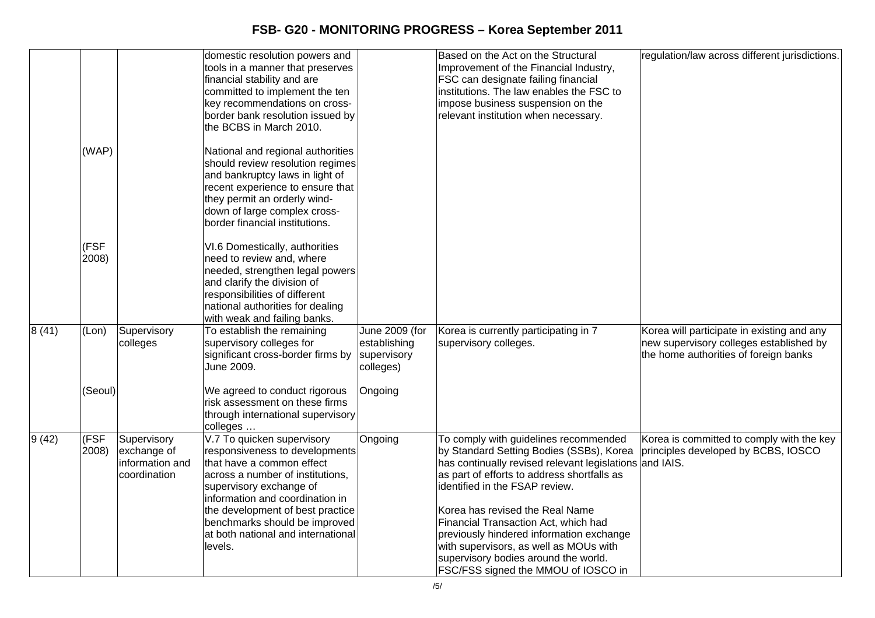|                 |               |                                                               | domestic resolution powers and<br>tools in a manner that preserves<br>financial stability and are<br>committed to implement the ten<br>key recommendations on cross-<br>border bank resolution issued by<br>the BCBS in March 2010.                                                                               |                                                            | Based on the Act on the Structural<br>Improvement of the Financial Industry,<br>FSC can designate failing financial<br>institutions. The law enables the FSC to<br>impose business suspension on the<br>relevant institution when necessary.                                                                                                                                                                                                                                  | regulation/law across different jurisdictions.                                                                                 |
|-----------------|---------------|---------------------------------------------------------------|-------------------------------------------------------------------------------------------------------------------------------------------------------------------------------------------------------------------------------------------------------------------------------------------------------------------|------------------------------------------------------------|-------------------------------------------------------------------------------------------------------------------------------------------------------------------------------------------------------------------------------------------------------------------------------------------------------------------------------------------------------------------------------------------------------------------------------------------------------------------------------|--------------------------------------------------------------------------------------------------------------------------------|
|                 | (WAP)         |                                                               | National and regional authorities<br>should review resolution regimes<br>and bankruptcy laws in light of<br>recent experience to ensure that<br>they permit an orderly wind-<br>down of large complex cross-<br>border financial institutions.                                                                    |                                                            |                                                                                                                                                                                                                                                                                                                                                                                                                                                                               |                                                                                                                                |
|                 | (FSF<br>2008) |                                                               | VI.6 Domestically, authorities<br>need to review and, where<br>needed, strengthen legal powers<br>and clarify the division of<br>responsibilities of different<br>national authorities for dealing<br>with weak and failing banks.                                                                                |                                                            |                                                                                                                                                                                                                                                                                                                                                                                                                                                                               |                                                                                                                                |
| $\sqrt{8}$ (41) | (Lon)         | Supervisory<br>colleges                                       | To establish the remaining<br>supervisory colleges for<br>significant cross-border firms by<br>June 2009.                                                                                                                                                                                                         | June 2009 (for<br>establishing<br>supervisory<br>colleges) | Korea is currently participating in 7<br>supervisory colleges.                                                                                                                                                                                                                                                                                                                                                                                                                | Korea will participate in existing and any<br>new supervisory colleges established by<br>the home authorities of foreign banks |
|                 | (Seoul)       |                                                               | We agreed to conduct rigorous<br>risk assessment on these firms<br>through international supervisory<br>colleges                                                                                                                                                                                                  | Ongoing                                                    |                                                                                                                                                                                                                                                                                                                                                                                                                                                                               |                                                                                                                                |
| 9(42)           | (FSF<br>2008) | Supervisory<br>exchange of<br>information and<br>coordination | V.7 To quicken supervisory<br>responsiveness to developments<br>that have a common effect<br>across a number of institutions,<br>supervisory exchange of<br>information and coordination in<br>the development of best practice<br>benchmarks should be improved<br>at both national and international<br>levels. | Ongoing                                                    | To comply with guidelines recommended<br>by Standard Setting Bodies (SSBs), Korea<br>has continually revised relevant legislations and IAIS.<br>as part of efforts to address shortfalls as<br>identified in the FSAP review.<br>Korea has revised the Real Name<br>Financial Transaction Act, which had<br>previously hindered information exchange<br>with supervisors, as well as MOUs with<br>supervisory bodies around the world.<br>FSC/FSS signed the MMOU of IOSCO in | Korea is committed to comply with the key<br>principles developed by BCBS, IOSCO                                               |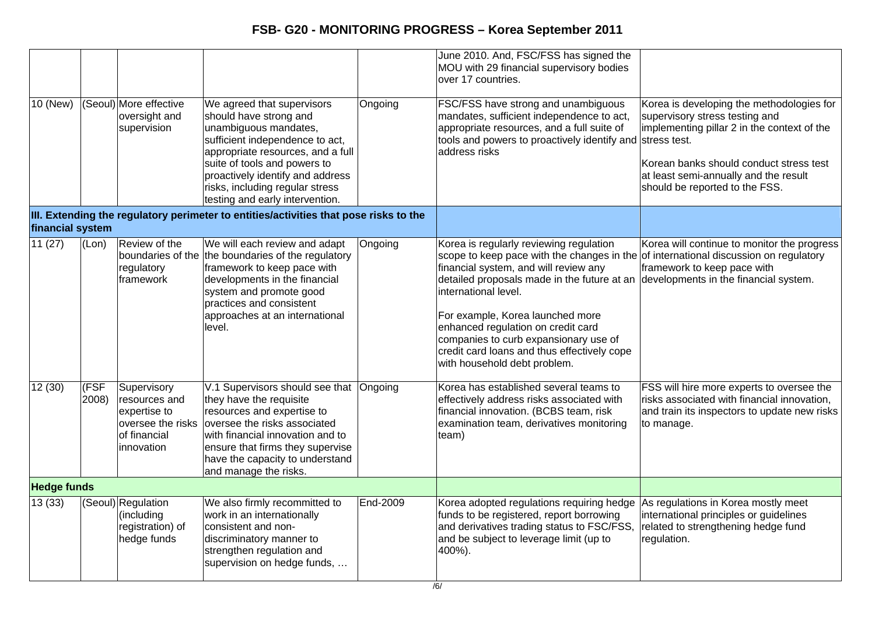| 10 (New)           |               | (Seoul) More effective                                                                          | We agreed that supervisors                                                                                                                                                                                                                                        |          | June 2010. And, FSC/FSS has signed the<br>MOU with 29 financial supervisory bodies<br>over 17 countries.<br>FSC/FSS have strong and unambiguous                                                                                                                                                                                                                                                                                               | Korea is developing the methodologies for                                                                                                                                                           |
|--------------------|---------------|-------------------------------------------------------------------------------------------------|-------------------------------------------------------------------------------------------------------------------------------------------------------------------------------------------------------------------------------------------------------------------|----------|-----------------------------------------------------------------------------------------------------------------------------------------------------------------------------------------------------------------------------------------------------------------------------------------------------------------------------------------------------------------------------------------------------------------------------------------------|-----------------------------------------------------------------------------------------------------------------------------------------------------------------------------------------------------|
|                    |               | oversight and<br>supervision                                                                    | should have strong and<br>unambiguous mandates,<br>sufficient independence to act,<br>appropriate resources, and a full<br>suite of tools and powers to<br>proactively identify and address<br>risks, including regular stress<br>testing and early intervention. | Ongoing  | mandates, sufficient independence to act,<br>appropriate resources, and a full suite of<br>tools and powers to proactively identify and stress test.<br>address risks                                                                                                                                                                                                                                                                         | supervisory stress testing and<br>implementing pillar 2 in the context of the<br>Korean banks should conduct stress test<br>at least semi-annually and the result<br>should be reported to the FSS. |
| financial system   |               |                                                                                                 | III. Extending the regulatory perimeter to entities/activities that pose risks to the                                                                                                                                                                             |          |                                                                                                                                                                                                                                                                                                                                                                                                                                               |                                                                                                                                                                                                     |
| 11(27)             | (Lon)         | Review of the<br>boundaries of the<br>regulatory<br>framework                                   | We will each review and adapt<br>the boundaries of the regulatory<br>framework to keep pace with<br>developments in the financial<br>system and promote good<br>practices and consistent<br>approaches at an international<br>level.                              | Ongoing  | Korea is regularly reviewing regulation<br>scope to keep pace with the changes in the<br>financial system, and will review any<br>detailed proposals made in the future at an developments in the financial system.<br>international level.<br>For example, Korea launched more<br>enhanced regulation on credit card<br>companies to curb expansionary use of<br>credit card loans and thus effectively cope<br>with household debt problem. | Korea will continue to monitor the progress<br>of international discussion on regulatory<br>framework to keep pace with                                                                             |
| 12(30)             | (FSF<br>2008) | Supervisory<br>resources and<br>expertise to<br>oversee the risks<br>of financial<br>innovation | V.1 Supervisors should see that<br>they have the requisite<br>resources and expertise to<br>oversee the risks associated<br>with financial innovation and to<br>ensure that firms they supervise<br>have the capacity to understand<br>and manage the risks.      | Ongoing  | Korea has established several teams to<br>effectively address risks associated with<br>financial innovation. (BCBS team, risk<br>examination team, derivatives monitoring<br>team)                                                                                                                                                                                                                                                            | FSS will hire more experts to oversee the<br>risks associated with financial innovation,<br>and train its inspectors to update new risks<br>to manage.                                              |
| <b>Hedge funds</b> |               |                                                                                                 |                                                                                                                                                                                                                                                                   |          |                                                                                                                                                                                                                                                                                                                                                                                                                                               |                                                                                                                                                                                                     |
| 13(33)             |               | (Seoul) Regulation<br>(including<br>registration) of<br>hedge funds                             | We also firmly recommitted to<br>work in an internationally<br>consistent and non-<br>discriminatory manner to<br>strengthen regulation and<br>supervision on hedge funds,                                                                                        | End-2009 | Korea adopted regulations requiring hedge<br>funds to be registered, report borrowing<br>and derivatives trading status to FSC/FSS,<br>and be subject to leverage limit (up to<br>400%).                                                                                                                                                                                                                                                      | As regulations in Korea mostly meet<br>international principles or guidelines<br>related to strengthening hedge fund<br>regulation.                                                                 |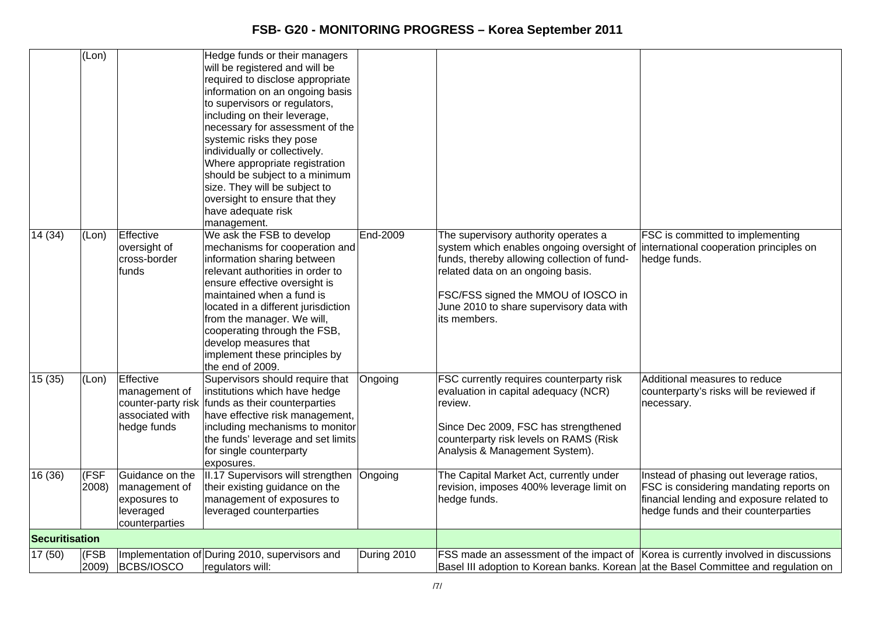|                       | (Lon)         |                                                                                 | Hedge funds or their managers<br>will be registered and will be<br>required to disclose appropriate<br>information on an ongoing basis<br>to supervisors or regulators,<br>including on their leverage,<br>necessary for assessment of the<br>systemic risks they pose<br>individually or collectively.<br>Where appropriate registration<br>should be subject to a minimum<br>size. They will be subject to<br>oversight to ensure that they<br>have adequate risk<br>management. |             |                                                                                                                                                                                                                                                                                                                  |                                                                                                                                                                         |
|-----------------------|---------------|---------------------------------------------------------------------------------|------------------------------------------------------------------------------------------------------------------------------------------------------------------------------------------------------------------------------------------------------------------------------------------------------------------------------------------------------------------------------------------------------------------------------------------------------------------------------------|-------------|------------------------------------------------------------------------------------------------------------------------------------------------------------------------------------------------------------------------------------------------------------------------------------------------------------------|-------------------------------------------------------------------------------------------------------------------------------------------------------------------------|
| 14 (34)               | (Lon)         | Effective<br>oversight of<br>cross-border<br>funds                              | We ask the FSB to develop<br>mechanisms for cooperation and<br>information sharing between<br>relevant authorities in order to<br>ensure effective oversight is<br>maintained when a fund is<br>located in a different jurisdiction<br>from the manager. We will,<br>cooperating through the FSB,<br>develop measures that<br>implement these principles by<br>the end of 2009.                                                                                                    | End-2009    | The supervisory authority operates a<br>system which enables ongoing oversight of international cooperation principles on<br>funds, thereby allowing collection of fund-<br>related data on an ongoing basis.<br>FSC/FSS signed the MMOU of IOSCO in<br>June 2010 to share supervisory data with<br>its members. | FSC is committed to implementing<br>hedge funds.                                                                                                                        |
| 15(35)                | (Lon)         | Effective<br>management of<br>associated with<br>hedge funds                    | Supervisors should require that<br>institutions which have hedge<br>counter-party risk funds as their counterparties<br>have effective risk management,<br>including mechanisms to monitor<br>the funds' leverage and set limits<br>for single counterparty<br>exposures.                                                                                                                                                                                                          | Ongoing     | <b>FSC currently requires counterparty risk</b><br>evaluation in capital adequacy (NCR)<br>review.<br>Since Dec 2009, FSC has strengthened<br>counterparty risk levels on RAMS (Risk<br>Analysis & Management System).                                                                                           | Additional measures to reduce<br>counterparty's risks will be reviewed if<br>necessary.                                                                                 |
| 16 (36)               | (FSF<br>2008) | Guidance on the<br>management of<br>exposures to<br>leveraged<br>counterparties | II.17 Supervisors will strengthen Ongoing<br>their existing guidance on the<br>management of exposures to<br>leveraged counterparties                                                                                                                                                                                                                                                                                                                                              |             | The Capital Market Act, currently under<br>revision, imposes 400% leverage limit on<br>hedge funds.                                                                                                                                                                                                              | Instead of phasing out leverage ratios,<br>FSC is considering mandating reports on<br>financial lending and exposure related to<br>hedge funds and their counterparties |
| <b>Securitisation</b> |               |                                                                                 |                                                                                                                                                                                                                                                                                                                                                                                                                                                                                    |             |                                                                                                                                                                                                                                                                                                                  |                                                                                                                                                                         |
| 17 (50)               | (FSB<br>2009) | BCBS/IOSCO                                                                      | Implementation of During 2010, supervisors and<br>regulators will:                                                                                                                                                                                                                                                                                                                                                                                                                 | During 2010 | FSS made an assessment of the impact of Korea is currently involved in discussions<br>Basel III adoption to Korean banks. Korean at the Basel Committee and regulation on                                                                                                                                        |                                                                                                                                                                         |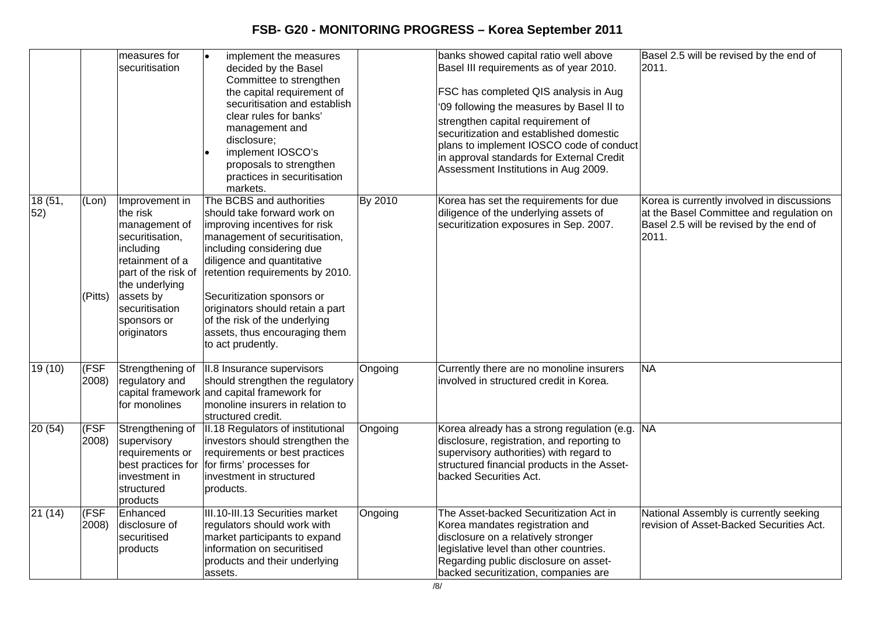|                |                  | measures for<br>securitisation                                                                                                                                                                       | l.<br>implement the measures<br>decided by the Basel<br>Committee to strengthen<br>the capital requirement of<br>securitisation and establish<br>clear rules for banks'<br>management and<br>disclosure;<br>implement IOSCO's<br>proposals to strengthen<br>practices in securitisation<br>markets.                                                                              |         | banks showed capital ratio well above<br>Basel III requirements as of year 2010.<br>FSC has completed QIS analysis in Aug<br>'09 following the measures by Basel II to<br>strengthen capital requirement of<br>securitization and established domestic<br>plans to implement IOSCO code of conduct<br>in approval standards for External Credit<br>Assessment Institutions in Aug 2009. | Basel 2.5 will be revised by the end of<br>2011.                                                                                           |
|----------------|------------------|------------------------------------------------------------------------------------------------------------------------------------------------------------------------------------------------------|----------------------------------------------------------------------------------------------------------------------------------------------------------------------------------------------------------------------------------------------------------------------------------------------------------------------------------------------------------------------------------|---------|-----------------------------------------------------------------------------------------------------------------------------------------------------------------------------------------------------------------------------------------------------------------------------------------------------------------------------------------------------------------------------------------|--------------------------------------------------------------------------------------------------------------------------------------------|
| 18 (51,<br>52) | (Lon)<br>(Pitts) | Improvement in<br>the risk<br>management of<br>securitisation,<br>including<br>retainment of a<br>part of the risk of<br>the underlying<br>assets by<br>securitisation<br>sponsors or<br>originators | The BCBS and authorities<br>should take forward work on<br>improving incentives for risk<br>management of securitisation,<br>including considering due<br>diligence and quantitative<br>retention requirements by 2010.<br>Securitization sponsors or<br>originators should retain a part<br>of the risk of the underlying<br>assets, thus encouraging them<br>to act prudently. | By 2010 | Korea has set the requirements for due<br>diligence of the underlying assets of<br>securitization exposures in Sep. 2007.                                                                                                                                                                                                                                                               | Korea is currently involved in discussions<br>at the Basel Committee and regulation on<br>Basel 2.5 will be revised by the end of<br>2011. |
| 19(10)         | (FSF<br>2008)    | Strengthening of<br>regulatory and<br>for monolines                                                                                                                                                  | II.8 Insurance supervisors<br>should strengthen the regulatory<br>capital framework and capital framework for<br>monoline insurers in relation to<br>structured credit.                                                                                                                                                                                                          | Ongoing | Currently there are no monoline insurers<br>involved in structured credit in Korea.                                                                                                                                                                                                                                                                                                     | <b>NA</b>                                                                                                                                  |
| 20(54)         | (FSF<br>2008)    | Strengthening of<br>supervisory<br>requirements or<br>investment in<br>structured<br>products                                                                                                        | II.18 Regulators of institutional<br>investors should strengthen the<br>requirements or best practices<br>best practices for for firms' processes for<br>investment in structured<br>products.                                                                                                                                                                                   | Ongoing | Korea already has a strong regulation (e.g. NA<br>disclosure, registration, and reporting to<br>supervisory authorities) with regard to<br>structured financial products in the Asset-<br>backed Securities Act.                                                                                                                                                                        |                                                                                                                                            |
| 21(14)         | (FSF<br>2008)    | Enhanced<br>disclosure of<br>securitised<br>products                                                                                                                                                 | III.10-III.13 Securities market<br>regulators should work with<br>market participants to expand<br>information on securitised<br>products and their underlying<br>assets.                                                                                                                                                                                                        | Ongoing | The Asset-backed Securitization Act in<br>Korea mandates registration and<br>disclosure on a relatively stronger<br>legislative level than other countries.<br>Regarding public disclosure on asset-<br>backed securitization, companies are                                                                                                                                            | National Assembly is currently seeking<br>revision of Asset-Backed Securities Act.                                                         |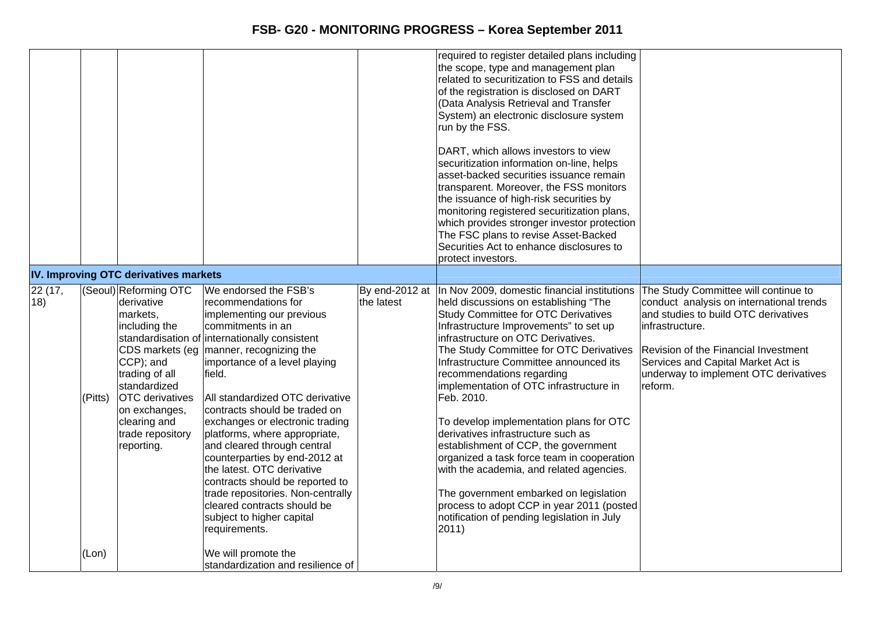|               |         |                                                                                                                                                                                                              |                                                                                                                                                                                                                                                                                                                                                                                                                                                                                                                                                                                                                                    |            | required to register detailed plans including<br>the scope, type and management plan<br>related to securitization to FSS and details<br>of the registration is disclosed on DART<br>(Data Analysis Retrieval and Transfer<br>System) an electronic disclosure system<br>run by the FSS.<br>DART, which allows investors to view<br>securitization information on-line, helps<br>asset-backed securities issuance remain<br>transparent. Moreover, the FSS monitors<br>the issuance of high-risk securities by<br>monitoring registered securitization plans,<br>which provides stronger investor protection<br>The FSC plans to revise Asset-Backed<br>Securities Act to enhance disclosures to<br>protect investors.                                                            |                                                                                                                                                                                                                                                                               |
|---------------|---------|--------------------------------------------------------------------------------------------------------------------------------------------------------------------------------------------------------------|------------------------------------------------------------------------------------------------------------------------------------------------------------------------------------------------------------------------------------------------------------------------------------------------------------------------------------------------------------------------------------------------------------------------------------------------------------------------------------------------------------------------------------------------------------------------------------------------------------------------------------|------------|----------------------------------------------------------------------------------------------------------------------------------------------------------------------------------------------------------------------------------------------------------------------------------------------------------------------------------------------------------------------------------------------------------------------------------------------------------------------------------------------------------------------------------------------------------------------------------------------------------------------------------------------------------------------------------------------------------------------------------------------------------------------------------|-------------------------------------------------------------------------------------------------------------------------------------------------------------------------------------------------------------------------------------------------------------------------------|
|               |         | IV. Improving OTC derivatives markets                                                                                                                                                                        |                                                                                                                                                                                                                                                                                                                                                                                                                                                                                                                                                                                                                                    |            |                                                                                                                                                                                                                                                                                                                                                                                                                                                                                                                                                                                                                                                                                                                                                                                  |                                                                                                                                                                                                                                                                               |
| 22(17,<br>18) | (Pitts) | (Seoul) Reforming OTC<br>derivative<br>markets,<br>including the<br>CCP); and<br>trading of all<br>standardized<br><b>OTC</b> derivatives<br>on exchanges,<br>clearing and<br>trade repository<br>reporting. | We endorsed the FSB's<br>recommendations for<br>implementing our previous<br>commitments in an<br>standardisation of internationally consistent<br>CDS markets (eg   manner, recognizing the<br>importance of a level playing<br>field.<br>All standardized OTC derivative<br>contracts should be traded on<br>exchanges or electronic trading<br>platforms, where appropriate,<br>and cleared through central<br>counterparties by end-2012 at<br>the latest. OTC derivative<br>contracts should be reported to<br>trade repositories. Non-centrally<br>cleared contracts should be<br>subject to higher capital<br>requirements. | the latest | By end-2012 at  In Nov 2009, domestic financial institutions<br>held discussions on establishing "The<br><b>Study Committee for OTC Derivatives</b><br>Infrastructure Improvements" to set up<br>infrastructure on OTC Derivatives.<br>The Study Committee for OTC Derivatives<br>Infrastructure Committee announced its<br>recommendations regarding<br>implementation of OTC infrastructure in<br>Feb. 2010.<br>To develop implementation plans for OTC<br>derivatives infrastructure such as<br>establishment of CCP, the government<br>organized a task force team in cooperation<br>with the academia, and related agencies.<br>The government embarked on legislation<br>process to adopt CCP in year 2011 (posted<br>notification of pending legislation in July<br>2011) | The Study Committee will continue to<br>conduct analysis on international trends<br>and studies to build OTC derivatives<br>infrastructure.<br>Revision of the Financial Investment<br>Services and Capital Market Act is<br>underway to implement OTC derivatives<br>reform. |
|               | (Lon)   |                                                                                                                                                                                                              | We will promote the<br>standardization and resilience of                                                                                                                                                                                                                                                                                                                                                                                                                                                                                                                                                                           |            |                                                                                                                                                                                                                                                                                                                                                                                                                                                                                                                                                                                                                                                                                                                                                                                  |                                                                                                                                                                                                                                                                               |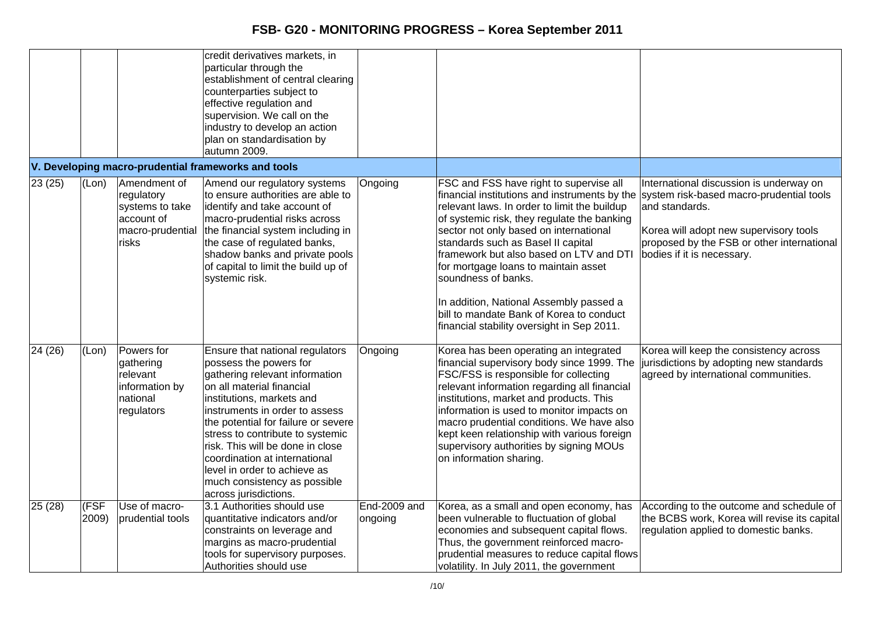|         |               |                                                                                                 | credit derivatives markets, in<br>particular through the<br>establishment of central clearing<br>counterparties subject to<br>effective regulation and<br>supervision. We call on the<br>industry to develop an action<br>plan on standardisation by<br>autumn 2009.                                                                                                                                                             |                         |                                                                                                                                                                                                                                                                                                                                                                                                                                                                                                                        |                                                                                                                                                                                                                             |
|---------|---------------|-------------------------------------------------------------------------------------------------|----------------------------------------------------------------------------------------------------------------------------------------------------------------------------------------------------------------------------------------------------------------------------------------------------------------------------------------------------------------------------------------------------------------------------------|-------------------------|------------------------------------------------------------------------------------------------------------------------------------------------------------------------------------------------------------------------------------------------------------------------------------------------------------------------------------------------------------------------------------------------------------------------------------------------------------------------------------------------------------------------|-----------------------------------------------------------------------------------------------------------------------------------------------------------------------------------------------------------------------------|
|         |               |                                                                                                 | V. Developing macro-prudential frameworks and tools                                                                                                                                                                                                                                                                                                                                                                              |                         |                                                                                                                                                                                                                                                                                                                                                                                                                                                                                                                        |                                                                                                                                                                                                                             |
| 23(25)  | (Lon)         | Amendment of<br>regulatory<br>systems to take<br>account of<br>macro-prudential<br><b>risks</b> | Amend our regulatory systems<br>to ensure authorities are able to<br>identify and take account of<br>macro-prudential risks across<br>the financial system including in<br>the case of regulated banks,<br>shadow banks and private pools<br>of capital to limit the build up of<br>systemic risk.                                                                                                                               | Ongoing                 | FSC and FSS have right to supervise all<br>financial institutions and instruments by the<br>relevant laws. In order to limit the buildup<br>of systemic risk, they regulate the banking<br>sector not only based on international<br>standards such as Basel II capital<br>framework but also based on LTV and DTI<br>for mortgage loans to maintain asset<br>soundness of banks.<br>In addition, National Assembly passed a<br>bill to mandate Bank of Korea to conduct<br>financial stability oversight in Sep 2011. | International discussion is underway on<br>system risk-based macro-prudential tools<br>and standards.<br>Korea will adopt new supervisory tools<br>proposed by the FSB or other international<br>bodies if it is necessary. |
| 24 (26) | (Lon)         | Powers for<br>gathering<br>relevant<br>information by<br>national<br>regulators                 | Ensure that national regulators<br>possess the powers for<br>gathering relevant information<br>on all material financial<br>institutions, markets and<br>instruments in order to assess<br>the potential for failure or severe<br>stress to contribute to systemic<br>risk. This will be done in close<br>coordination at international<br>level in order to achieve as<br>much consistency as possible<br>across jurisdictions. | Ongoing                 | Korea has been operating an integrated<br>financial supervisory body since 1999. The<br>FSC/FSS is responsible for collecting<br>relevant information regarding all financial<br>institutions, market and products. This<br>information is used to monitor impacts on<br>macro prudential conditions. We have also<br>kept keen relationship with various foreign<br>supervisory authorities by signing MOUs<br>on information sharing.                                                                                | Korea will keep the consistency across<br>jurisdictions by adopting new standards<br>agreed by international communities.                                                                                                   |
| 25(28)  | (FSF<br>2009) | Use of macro-<br>prudential tools                                                               | 3.1 Authorities should use<br>quantitative indicators and/or<br>constraints on leverage and<br>margins as macro-prudential<br>tools for supervisory purposes.<br>Authorities should use                                                                                                                                                                                                                                          | End-2009 and<br>ongoing | Korea, as a small and open economy, has<br>been vulnerable to fluctuation of global<br>economies and subsequent capital flows.<br>Thus, the government reinforced macro-<br>prudential measures to reduce capital flows<br>volatility. In July 2011, the government                                                                                                                                                                                                                                                    | According to the outcome and schedule of<br>the BCBS work, Korea will revise its capital<br>regulation applied to domestic banks.                                                                                           |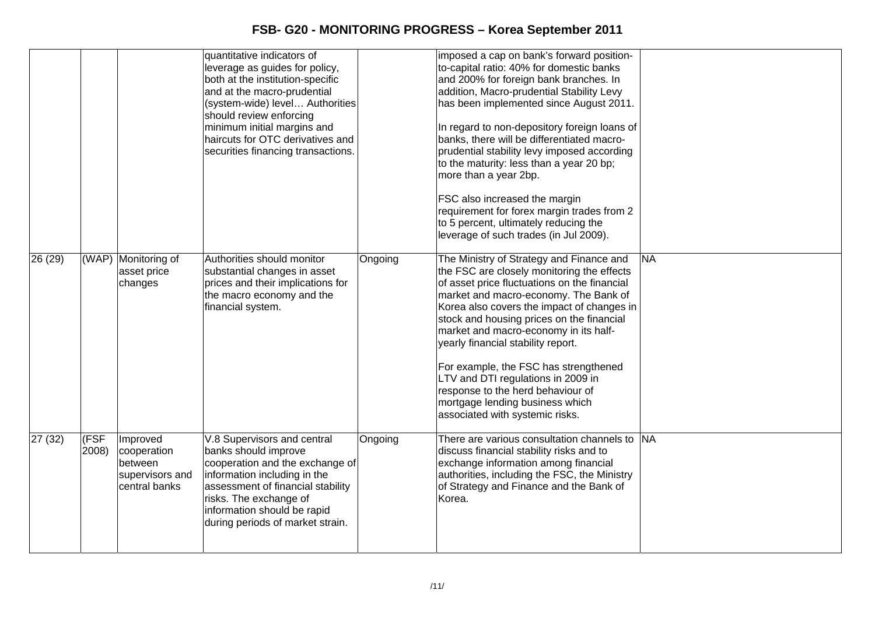|         |               |                                                                        | quantitative indicators of<br>leverage as guides for policy,<br>both at the institution-specific<br>and at the macro-prudential<br>(system-wide) level Authorities<br>should review enforcing<br>minimum initial margins and<br>haircuts for OTC derivatives and<br>securities financing transactions. |         | imposed a cap on bank's forward position-<br>to-capital ratio: 40% for domestic banks<br>and 200% for foreign bank branches. In<br>addition, Macro-prudential Stability Levy<br>has been implemented since August 2011.<br>In regard to non-depository foreign loans of<br>banks, there will be differentiated macro-<br>prudential stability levy imposed according<br>to the maturity: less than a year 20 bp;<br>more than a year 2bp.<br>FSC also increased the margin<br>requirement for forex margin trades from 2<br>to 5 percent, ultimately reducing the<br>leverage of such trades (in Jul 2009). |           |
|---------|---------------|------------------------------------------------------------------------|--------------------------------------------------------------------------------------------------------------------------------------------------------------------------------------------------------------------------------------------------------------------------------------------------------|---------|-------------------------------------------------------------------------------------------------------------------------------------------------------------------------------------------------------------------------------------------------------------------------------------------------------------------------------------------------------------------------------------------------------------------------------------------------------------------------------------------------------------------------------------------------------------------------------------------------------------|-----------|
| 26(29)  |               | (WAP) Monitoring of<br>asset price<br>changes                          | Authorities should monitor<br>substantial changes in asset<br>prices and their implications for<br>the macro economy and the<br>financial system.                                                                                                                                                      | Ongoing | The Ministry of Strategy and Finance and<br>the FSC are closely monitoring the effects<br>of asset price fluctuations on the financial<br>market and macro-economy. The Bank of<br>Korea also covers the impact of changes in<br>stock and housing prices on the financial<br>market and macro-economy in its half-<br>yearly financial stability report.<br>For example, the FSC has strengthened<br>LTV and DTI regulations in 2009 in<br>response to the herd behaviour of<br>mortgage lending business which<br>associated with systemic risks.                                                         | <b>NA</b> |
| 27 (32) | (FSF<br>2008) | Improved<br>cooperation<br>between<br>supervisors and<br>central banks | V.8 Supervisors and central<br>banks should improve<br>cooperation and the exchange of<br>information including in the<br>assessment of financial stability<br>risks. The exchange of<br>information should be rapid<br>during periods of market strain.                                               | Ongoing | There are various consultation channels to SNA<br>discuss financial stability risks and to<br>exchange information among financial<br>authorities, including the FSC, the Ministry<br>of Strategy and Finance and the Bank of<br>Korea.                                                                                                                                                                                                                                                                                                                                                                     |           |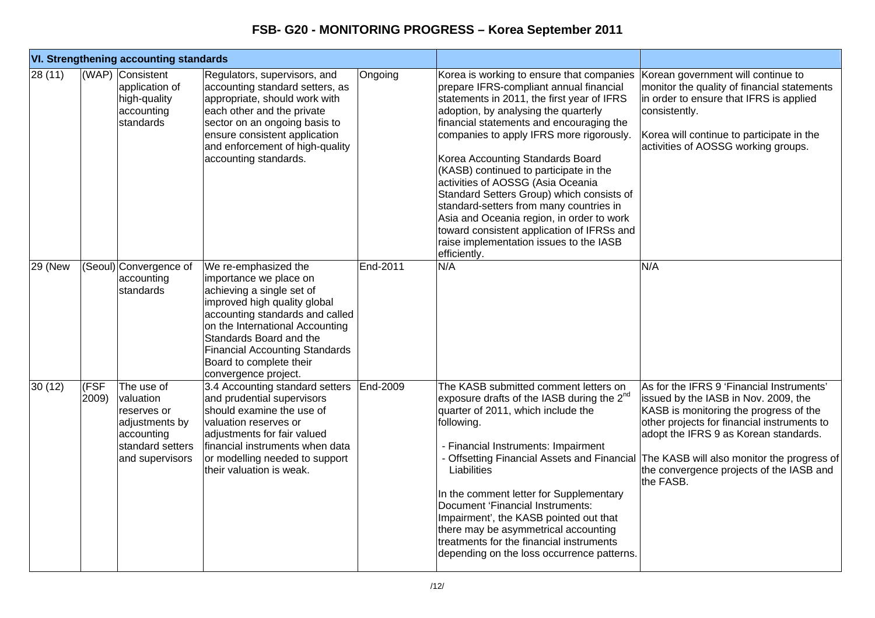|                  | <b>VI. Strengthening accounting standards</b> |                                                                                                               |                                                                                                                                                                                                                                                                                                          |          |                                                                                                                                                                                                                                                                                                                                                                                                                                                                                                                                                                                                                                     |                                                                                                                                                                                                                                                                                                                                                                        |
|------------------|-----------------------------------------------|---------------------------------------------------------------------------------------------------------------|----------------------------------------------------------------------------------------------------------------------------------------------------------------------------------------------------------------------------------------------------------------------------------------------------------|----------|-------------------------------------------------------------------------------------------------------------------------------------------------------------------------------------------------------------------------------------------------------------------------------------------------------------------------------------------------------------------------------------------------------------------------------------------------------------------------------------------------------------------------------------------------------------------------------------------------------------------------------------|------------------------------------------------------------------------------------------------------------------------------------------------------------------------------------------------------------------------------------------------------------------------------------------------------------------------------------------------------------------------|
| $\sqrt{28}$ (11) |                                               | (WAP) Consistent<br>application of<br>high-quality<br>accounting<br>standards                                 | Regulators, supervisors, and<br>accounting standard setters, as<br>appropriate, should work with<br>each other and the private<br>sector on an ongoing basis to<br>ensure consistent application<br>and enforcement of high-quality<br>accounting standards.                                             | Ongoing  | Korea is working to ensure that companies<br>prepare IFRS-compliant annual financial<br>statements in 2011, the first year of IFRS<br>adoption, by analysing the quarterly<br>financial statements and encouraging the<br>companies to apply IFRS more rigorously.<br>Korea Accounting Standards Board<br>(KASB) continued to participate in the<br>activities of AOSSG (Asia Oceania<br>Standard Setters Group) which consists of<br>standard-setters from many countries in<br>Asia and Oceania region, in order to work<br>toward consistent application of IFRSs and<br>raise implementation issues to the IASB<br>efficiently. | Korean government will continue to<br>monitor the quality of financial statements<br>in order to ensure that IFRS is applied<br>consistently.<br>Korea will continue to participate in the<br>activities of AOSSG working groups.                                                                                                                                      |
| <b>29 (New</b>   |                                               | (Seoul) Convergence of<br>accounting<br>standards                                                             | We re-emphasized the<br>importance we place on<br>achieving a single set of<br>improved high quality global<br>accounting standards and called<br>on the International Accounting<br>Standards Board and the<br><b>Financial Accounting Standards</b><br>Board to complete their<br>convergence project. | End-2011 | N/A                                                                                                                                                                                                                                                                                                                                                                                                                                                                                                                                                                                                                                 | N/A                                                                                                                                                                                                                                                                                                                                                                    |
| 30 (12)          | (FSF<br>2009)                                 | The use of<br>valuation<br>reserves or<br>adjustments by<br>accounting<br>standard setters<br>and supervisors | 3.4 Accounting standard setters<br>and prudential supervisors<br>should examine the use of<br>valuation reserves or<br>adjustments for fair valued<br>financial instruments when data<br>or modelling needed to support<br>their valuation is weak.                                                      | End-2009 | The KASB submitted comment letters on<br>exposure drafts of the IASB during the $2^{nd}$<br>quarter of 2011, which include the<br>following.<br>- Financial Instruments: Impairment<br>Liabilities<br>In the comment letter for Supplementary<br>Document 'Financial Instruments:<br>Impairment', the KASB pointed out that<br>there may be asymmetrical accounting<br>treatments for the financial instruments<br>depending on the loss occurrence patterns.                                                                                                                                                                       | As for the IFRS 9 'Financial Instruments'<br>issued by the IASB in Nov. 2009, the<br>KASB is monitoring the progress of the<br>other projects for financial instruments to<br>adopt the IFRS 9 as Korean standards.<br>- Offsetting Financial Assets and Financial The KASB will also monitor the progress of<br>the convergence projects of the IASB and<br>the FASB. |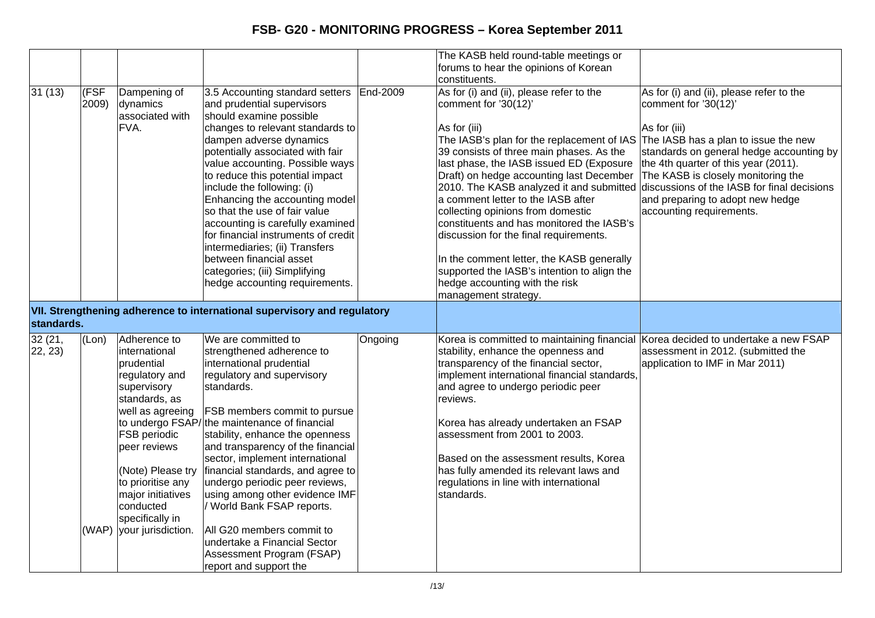|                   |               |                                                                                                                                                                                                                                                                              |                                                                                                                                                                                                                                                                                                                                                                                                                                                                                                                                                                                |          | The KASB held round-table meetings or                                                                                                                                                                                                                                                                                                                                                                                                                                                                                                                                                                                                                                              |                                                                                                                                                                                                                                                                                                                    |
|-------------------|---------------|------------------------------------------------------------------------------------------------------------------------------------------------------------------------------------------------------------------------------------------------------------------------------|--------------------------------------------------------------------------------------------------------------------------------------------------------------------------------------------------------------------------------------------------------------------------------------------------------------------------------------------------------------------------------------------------------------------------------------------------------------------------------------------------------------------------------------------------------------------------------|----------|------------------------------------------------------------------------------------------------------------------------------------------------------------------------------------------------------------------------------------------------------------------------------------------------------------------------------------------------------------------------------------------------------------------------------------------------------------------------------------------------------------------------------------------------------------------------------------------------------------------------------------------------------------------------------------|--------------------------------------------------------------------------------------------------------------------------------------------------------------------------------------------------------------------------------------------------------------------------------------------------------------------|
|                   |               |                                                                                                                                                                                                                                                                              |                                                                                                                                                                                                                                                                                                                                                                                                                                                                                                                                                                                |          | forums to hear the opinions of Korean                                                                                                                                                                                                                                                                                                                                                                                                                                                                                                                                                                                                                                              |                                                                                                                                                                                                                                                                                                                    |
|                   |               |                                                                                                                                                                                                                                                                              |                                                                                                                                                                                                                                                                                                                                                                                                                                                                                                                                                                                |          | constituents.                                                                                                                                                                                                                                                                                                                                                                                                                                                                                                                                                                                                                                                                      |                                                                                                                                                                                                                                                                                                                    |
| 31(13)            | (FSF<br>2009) | Dampening of<br>dynamics<br>associated with<br>FVA.                                                                                                                                                                                                                          | 3.5 Accounting standard setters<br>and prudential supervisors<br>should examine possible<br>changes to relevant standards to<br>dampen adverse dynamics<br>potentially associated with fair<br>value accounting. Possible ways<br>to reduce this potential impact<br>include the following: (i)<br>Enhancing the accounting model<br>so that the use of fair value<br>accounting is carefully examined<br>for financial instruments of credit<br>intermediaries; (ii) Transfers<br>between financial asset<br>categories; (iii) Simplifying<br>hedge accounting requirements.  | End-2009 | As for (i) and (ii), please refer to the<br>comment for '30(12)'<br>As for (iii)<br>The IASB's plan for the replacement of IAS<br>39 consists of three main phases. As the<br>last phase, the IASB issued ED (Exposure<br>Draft) on hedge accounting last December<br>2010. The KASB analyzed it and submitted discussions of the IASB for final decisions<br>a comment letter to the IASB after<br>collecting opinions from domestic<br>constituents and has monitored the IASB's<br>discussion for the final requirements.<br>In the comment letter, the KASB generally<br>supported the IASB's intention to align the<br>hedge accounting with the risk<br>management strategy. | As for (i) and (ii), please refer to the<br>comment for '30(12)'<br>As for (iii)<br>The IASB has a plan to issue the new<br>standards on general hedge accounting by<br>the 4th quarter of this year (2011).<br>The KASB is closely monitoring the<br>and preparing to adopt new hedge<br>accounting requirements. |
| standards.        |               |                                                                                                                                                                                                                                                                              | VII. Strengthening adherence to international supervisory and regulatory                                                                                                                                                                                                                                                                                                                                                                                                                                                                                                       |          |                                                                                                                                                                                                                                                                                                                                                                                                                                                                                                                                                                                                                                                                                    |                                                                                                                                                                                                                                                                                                                    |
| 32(21,<br>22, 23) | (Lon)         | Adherence to<br>international<br>prudential<br>regulatory and<br>supervisory<br>standards, as<br>well as agreeing<br>FSB periodic<br>peer reviews<br>(Note) Please try<br>to prioritise any<br>major initiatives<br>conducted<br>specifically in<br>(WAP) your jurisdiction. | We are committed to<br>strengthened adherence to<br>international prudential<br>regulatory and supervisory<br>standards.<br>FSB members commit to pursue<br>to undergo FSAP/the maintenance of financial<br>stability, enhance the openness<br>and transparency of the financial<br>sector, implement international<br>financial standards, and agree to<br>undergo periodic peer reviews,<br>using among other evidence IMF<br>/ World Bank FSAP reports.<br>All G20 members commit to<br>undertake a Financial Sector<br>Assessment Program (FSAP)<br>report and support the | Ongoing  | Korea is committed to maintaining financial<br>stability, enhance the openness and<br>transparency of the financial sector,<br>implement international financial standards,<br>and agree to undergo periodic peer<br>reviews.<br>Korea has already undertaken an FSAP<br>assessment from 2001 to 2003.<br>Based on the assessment results, Korea<br>has fully amended its relevant laws and<br>regulations in line with international<br>standards.                                                                                                                                                                                                                                | Korea decided to undertake a new FSAP<br>assessment in 2012. (submitted the<br>application to IMF in Mar 2011)                                                                                                                                                                                                     |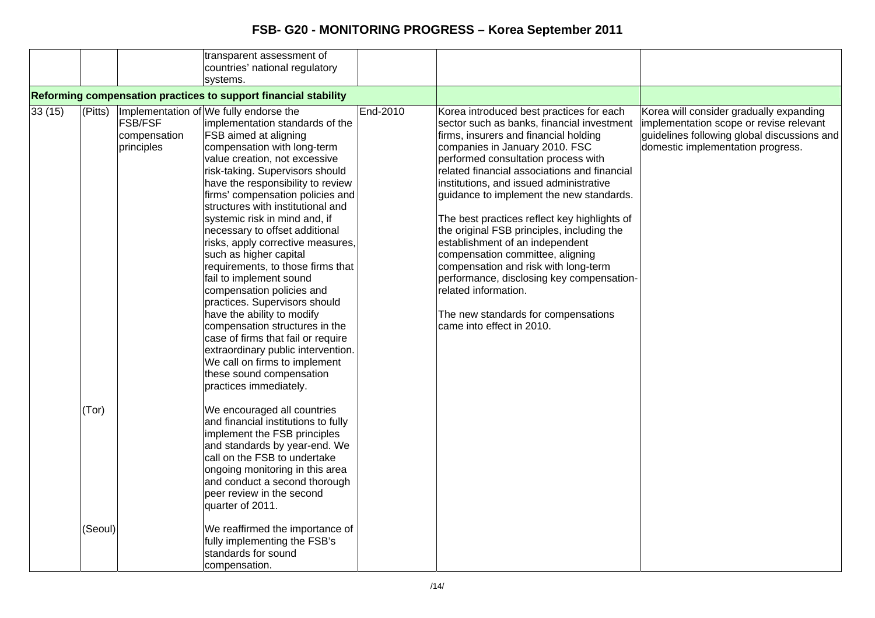|        |         |                                              | transparent assessment of<br>countries' national regulatory                                                                                                                                                                                                                                                                                                                                                                                                                                                                                                                                                                                                   |          |                                                                                                                                                                                                                                                                                                                                                                                                                                                                                                                                                                                                                                   |                                                                                                                                                                        |
|--------|---------|----------------------------------------------|---------------------------------------------------------------------------------------------------------------------------------------------------------------------------------------------------------------------------------------------------------------------------------------------------------------------------------------------------------------------------------------------------------------------------------------------------------------------------------------------------------------------------------------------------------------------------------------------------------------------------------------------------------------|----------|-----------------------------------------------------------------------------------------------------------------------------------------------------------------------------------------------------------------------------------------------------------------------------------------------------------------------------------------------------------------------------------------------------------------------------------------------------------------------------------------------------------------------------------------------------------------------------------------------------------------------------------|------------------------------------------------------------------------------------------------------------------------------------------------------------------------|
|        |         |                                              | systems.                                                                                                                                                                                                                                                                                                                                                                                                                                                                                                                                                                                                                                                      |          |                                                                                                                                                                                                                                                                                                                                                                                                                                                                                                                                                                                                                                   |                                                                                                                                                                        |
| 33(15) | (Pitts) | <b>FSB/FSF</b><br>compensation<br>principles | Reforming compensation practices to support financial stability<br>Implementation of We fully endorse the<br>implementation standards of the<br><b>FSB</b> aimed at aligning<br>compensation with long-term<br>value creation, not excessive<br>risk-taking. Supervisors should<br>have the responsibility to review<br>firms' compensation policies and<br>structures with institutional and<br>systemic risk in mind and, if<br>necessary to offset additional<br>risks, apply corrective measures,<br>such as higher capital<br>requirements, to those firms that<br>fail to implement sound<br>compensation policies and<br>practices. Supervisors should | End-2010 | Korea introduced best practices for each<br>sector such as banks, financial investment<br>firms, insurers and financial holding<br>companies in January 2010. FSC<br>performed consultation process with<br>related financial associations and financial<br>institutions, and issued administrative<br>guidance to implement the new standards.<br>The best practices reflect key highlights of<br>the original FSB principles, including the<br>establishment of an independent<br>compensation committee, aligning<br>compensation and risk with long-term<br>performance, disclosing key compensation-<br>related information. | Korea will consider gradually expanding<br>implementation scope or revise relevant<br>guidelines following global discussions and<br>domestic implementation progress. |
|        |         |                                              | have the ability to modify<br>compensation structures in the<br>case of firms that fail or require<br>extraordinary public intervention.<br>We call on firms to implement<br>these sound compensation<br>practices immediately.                                                                                                                                                                                                                                                                                                                                                                                                                               |          | The new standards for compensations<br>came into effect in 2010.                                                                                                                                                                                                                                                                                                                                                                                                                                                                                                                                                                  |                                                                                                                                                                        |
|        | (Tor)   |                                              | We encouraged all countries<br>and financial institutions to fully<br>implement the FSB principles<br>and standards by year-end. We<br>call on the FSB to undertake<br>ongoing monitoring in this area<br>and conduct a second thorough<br>peer review in the second<br>quarter of 2011.                                                                                                                                                                                                                                                                                                                                                                      |          |                                                                                                                                                                                                                                                                                                                                                                                                                                                                                                                                                                                                                                   |                                                                                                                                                                        |
|        | (Seoul) |                                              | We reaffirmed the importance of<br>fully implementing the FSB's<br>standards for sound<br>compensation.                                                                                                                                                                                                                                                                                                                                                                                                                                                                                                                                                       |          |                                                                                                                                                                                                                                                                                                                                                                                                                                                                                                                                                                                                                                   |                                                                                                                                                                        |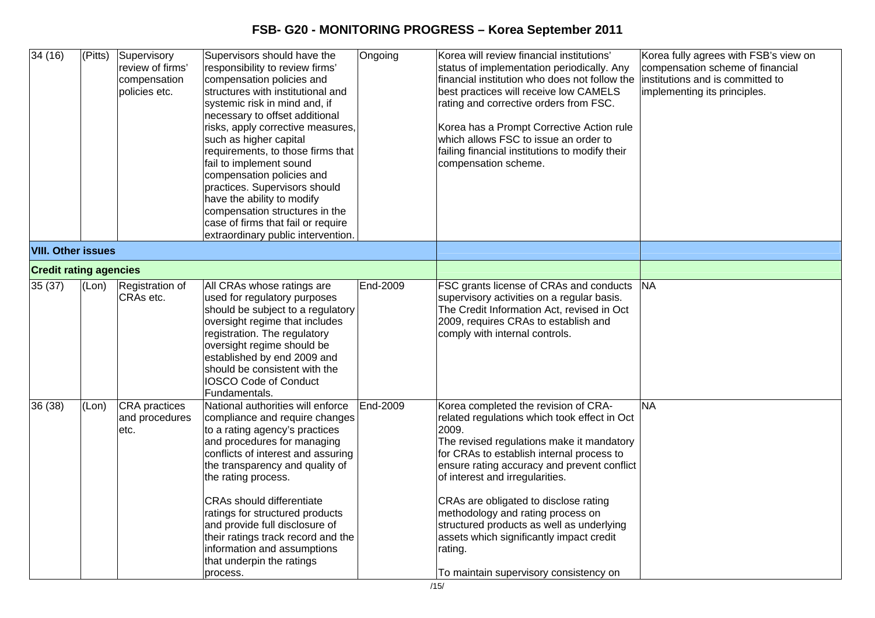| 34(16)                        | $\sqrt{\text{(Pitts)}}$ | Supervisory<br>review of firms'<br>compensation<br>policies etc. | Supervisors should have the<br>responsibility to review firms'<br>compensation policies and<br>structures with institutional and<br>systemic risk in mind and, if<br>necessary to offset additional<br>risks, apply corrective measures,<br>such as higher capital<br>requirements, to those firms that<br>fail to implement sound<br>compensation policies and<br>practices. Supervisors should<br>have the ability to modify<br>compensation structures in the<br>case of firms that fail or require<br>extraordinary public intervention. | Ongoing  | Korea will review financial institutions'<br>status of implementation periodically. Any<br>financial institution who does not follow the<br>best practices will receive low CAMELS<br>rating and corrective orders from FSC.<br>Korea has a Prompt Corrective Action rule<br>which allows FSC to issue an order to<br>failing financial institutions to modify their<br>compensation scheme.                                                                                                          | Korea fully agrees with FSB's view on<br>compensation scheme of financial<br>institutions and is committed to<br>implementing its principles. |
|-------------------------------|-------------------------|------------------------------------------------------------------|----------------------------------------------------------------------------------------------------------------------------------------------------------------------------------------------------------------------------------------------------------------------------------------------------------------------------------------------------------------------------------------------------------------------------------------------------------------------------------------------------------------------------------------------|----------|-------------------------------------------------------------------------------------------------------------------------------------------------------------------------------------------------------------------------------------------------------------------------------------------------------------------------------------------------------------------------------------------------------------------------------------------------------------------------------------------------------|-----------------------------------------------------------------------------------------------------------------------------------------------|
| <b>VIII. Other issues</b>     |                         |                                                                  |                                                                                                                                                                                                                                                                                                                                                                                                                                                                                                                                              |          |                                                                                                                                                                                                                                                                                                                                                                                                                                                                                                       |                                                                                                                                               |
| <b>Credit rating agencies</b> |                         |                                                                  |                                                                                                                                                                                                                                                                                                                                                                                                                                                                                                                                              |          |                                                                                                                                                                                                                                                                                                                                                                                                                                                                                                       |                                                                                                                                               |
| 35(37)                        | (Lon)                   | Registration of<br>CRAs etc.                                     | All CRAs whose ratings are<br>used for regulatory purposes<br>should be subject to a regulatory<br>oversight regime that includes<br>registration. The regulatory<br>oversight regime should be<br>established by end 2009 and<br>should be consistent with the<br><b>IOSCO Code of Conduct</b><br>Fundamentals.                                                                                                                                                                                                                             | End-2009 | FSC grants license of CRAs and conducts<br>supervisory activities on a regular basis.<br>The Credit Information Act, revised in Oct<br>2009, requires CRAs to establish and<br>comply with internal controls.                                                                                                                                                                                                                                                                                         | <b>NA</b>                                                                                                                                     |
| 36 (38)                       | (Lon)                   | <b>CRA</b> practices<br>and procedures<br>etc.                   | National authorities will enforce<br>compliance and require changes<br>to a rating agency's practices<br>and procedures for managing<br>conflicts of interest and assuring<br>the transparency and quality of<br>the rating process.<br><b>CRAs should differentiate</b><br>ratings for structured products<br>and provide full disclosure of<br>their ratings track record and the<br>information and assumptions<br>that underpin the ratings<br>process.                                                                                  | End-2009 | Korea completed the revision of CRA-<br>related regulations which took effect in Oct<br>2009.<br>The revised regulations make it mandatory<br>for CRAs to establish internal process to<br>ensure rating accuracy and prevent conflict<br>of interest and irregularities.<br>CRAs are obligated to disclose rating<br>methodology and rating process on<br>structured products as well as underlying<br>assets which significantly impact credit<br>rating.<br>To maintain supervisory consistency on | <b>NA</b>                                                                                                                                     |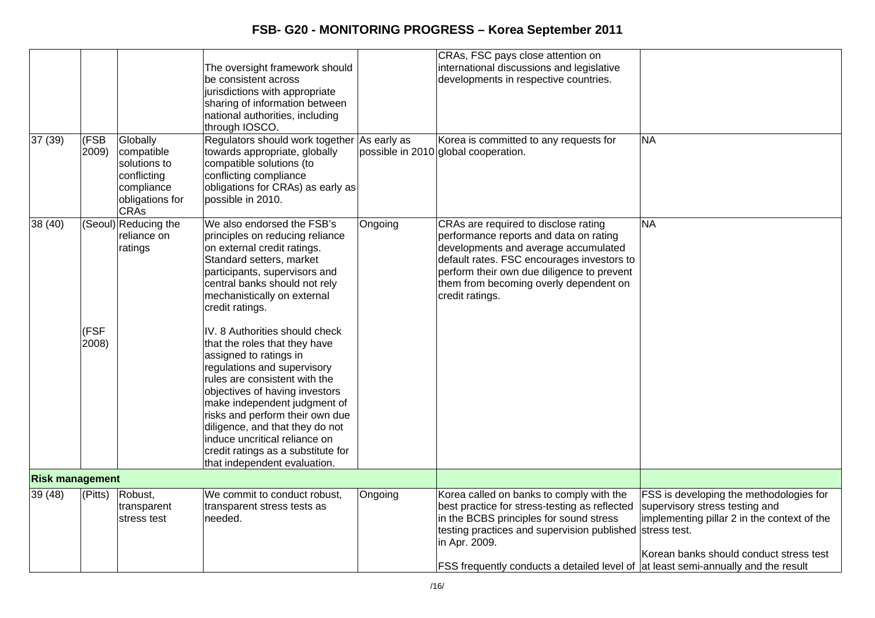|                        |                       |                                                                                                       | The oversight framework should<br>be consistent across<br>jurisdictions with appropriate<br>sharing of information between<br>national authorities, including<br>through IOSCO.                                                                                                                                                                                                                          |         | CRAs, FSC pays close attention on<br>international discussions and legislative<br>developments in respective countries.                                                                                                                                                                                |                                                                                                                                                                     |
|------------------------|-----------------------|-------------------------------------------------------------------------------------------------------|----------------------------------------------------------------------------------------------------------------------------------------------------------------------------------------------------------------------------------------------------------------------------------------------------------------------------------------------------------------------------------------------------------|---------|--------------------------------------------------------------------------------------------------------------------------------------------------------------------------------------------------------------------------------------------------------------------------------------------------------|---------------------------------------------------------------------------------------------------------------------------------------------------------------------|
| 37 (39)                | (FSB<br>2009)         | Globally<br>compatible<br>solutions to<br>conflicting<br>compliance<br>obligations for<br><b>CRAs</b> | Regulators should work together As early as<br>towards appropriate, globally<br>compatible solutions (to<br>conflicting compliance<br>obligations for CRAs) as early as<br>possible in 2010.                                                                                                                                                                                                             |         | Korea is committed to any requests for<br>possible in 2010 global cooperation.                                                                                                                                                                                                                         | <b>NA</b>                                                                                                                                                           |
| 38 (40)                |                       | (Seoul) Reducing the<br>reliance on<br>ratings                                                        | We also endorsed the FSB's<br>principles on reducing reliance<br>on external credit ratings.<br>Standard setters, market<br>participants, supervisors and<br>central banks should not rely<br>mechanistically on external<br>credit ratings.                                                                                                                                                             | Ongoing | CRAs are required to disclose rating<br>performance reports and data on rating<br>developments and average accumulated<br>default rates. FSC encourages investors to<br>perform their own due diligence to prevent<br>them from becoming overly dependent on<br>credit ratings.                        | <b>NA</b>                                                                                                                                                           |
|                        | (FSF<br>2008)         |                                                                                                       | IV. 8 Authorities should check<br>that the roles that they have<br>assigned to ratings in<br>regulations and supervisory<br>rules are consistent with the<br>objectives of having investors<br>make independent judgment of<br>risks and perform their own due<br>diligence, and that they do not<br>induce uncritical reliance on<br>credit ratings as a substitute for<br>that independent evaluation. |         |                                                                                                                                                                                                                                                                                                        |                                                                                                                                                                     |
| <b>Risk management</b> |                       |                                                                                                       |                                                                                                                                                                                                                                                                                                                                                                                                          |         |                                                                                                                                                                                                                                                                                                        |                                                                                                                                                                     |
| 39(48)                 | $\sqrt{\text{Pitts}}$ | Robust,<br>transparent<br>stress test                                                                 | We commit to conduct robust,<br>transparent stress tests as<br>needed.                                                                                                                                                                                                                                                                                                                                   | Ongoing | Korea called on banks to comply with the<br>best practice for stress-testing as reflected<br>in the BCBS principles for sound stress<br>testing practices and supervision published stress test.<br>in Apr. 2009.<br>FSS frequently conducts a detailed level of at least semi-annually and the result | FSS is developing the methodologies for<br>supervisory stress testing and<br>implementing pillar 2 in the context of the<br>Korean banks should conduct stress test |
|                        |                       |                                                                                                       |                                                                                                                                                                                                                                                                                                                                                                                                          |         |                                                                                                                                                                                                                                                                                                        |                                                                                                                                                                     |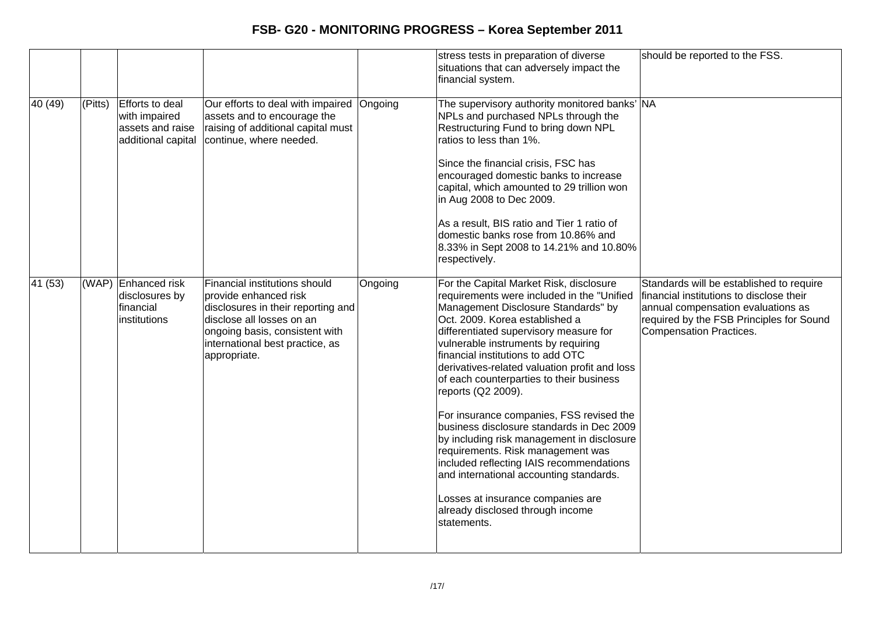|         |         |                                                                            |                                                                                                                                                                                                                |         | stress tests in preparation of diverse<br>situations that can adversely impact the<br>financial system.                                                                                                                                                                                                                                                                                                                                                                                                                                                                                                                                                                                                                                                            | should be reported to the FSS.                                                                                                                                                                           |
|---------|---------|----------------------------------------------------------------------------|----------------------------------------------------------------------------------------------------------------------------------------------------------------------------------------------------------------|---------|--------------------------------------------------------------------------------------------------------------------------------------------------------------------------------------------------------------------------------------------------------------------------------------------------------------------------------------------------------------------------------------------------------------------------------------------------------------------------------------------------------------------------------------------------------------------------------------------------------------------------------------------------------------------------------------------------------------------------------------------------------------------|----------------------------------------------------------------------------------------------------------------------------------------------------------------------------------------------------------|
| 40 (49) | (Pitts) | Efforts to deal<br>with impaired<br>assets and raise<br>additional capital | Our efforts to deal with impaired<br>assets and to encourage the<br>raising of additional capital must<br>continue, where needed.                                                                              | Ongoing | The supervisory authority monitored banks' NA<br>NPLs and purchased NPLs through the<br>Restructuring Fund to bring down NPL<br>ratios to less than 1%.<br>Since the financial crisis, FSC has<br>encouraged domestic banks to increase<br>capital, which amounted to 29 trillion won<br>in Aug 2008 to Dec 2009.<br>As a result, BIS ratio and Tier 1 ratio of<br>domestic banks rose from 10.86% and<br>8.33% in Sept 2008 to 14.21% and 10.80%<br>respectively.                                                                                                                                                                                                                                                                                                 |                                                                                                                                                                                                          |
| 41 (53) |         | (WAP) Enhanced risk<br>disclosures by<br>financial<br>institutions         | Financial institutions should<br>provide enhanced risk<br>disclosures in their reporting and<br>disclose all losses on an<br>ongoing basis, consistent with<br>international best practice, as<br>appropriate. | Ongoing | For the Capital Market Risk, disclosure<br>requirements were included in the "Unified<br>Management Disclosure Standards" by<br>Oct. 2009. Korea established a<br>differentiated supervisory measure for<br>vulnerable instruments by requiring<br>financial institutions to add OTC<br>derivatives-related valuation profit and loss<br>of each counterparties to their business<br>reports (Q2 2009).<br>For insurance companies, FSS revised the<br>business disclosure standards in Dec 2009<br>by including risk management in disclosure<br>requirements. Risk management was<br>included reflecting IAIS recommendations<br>and international accounting standards.<br>Losses at insurance companies are<br>already disclosed through income<br>statements. | Standards will be established to require<br>financial institutions to disclose their<br>annual compensation evaluations as<br>required by the FSB Principles for Sound<br><b>Compensation Practices.</b> |